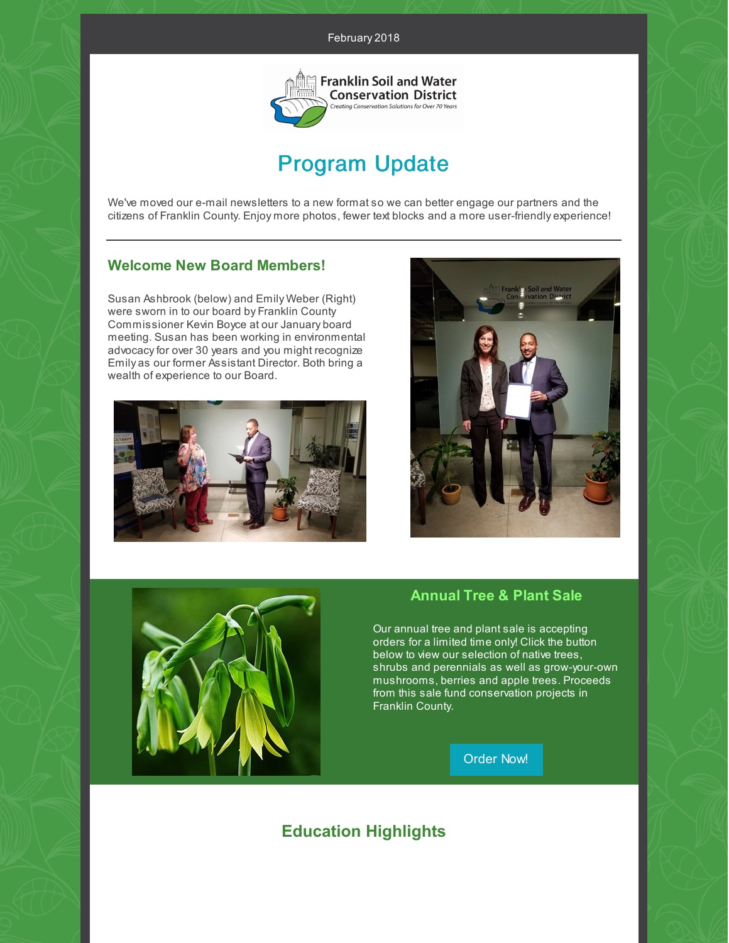#### February 2018



# Program Update

We've moved our e-mail newsletters to a new format so we can better engage our partners and the citizens of Franklin County. Enjoy more photos, fewer text blocks and a more user-friendly experience!

# **Welcome New Board Members!**

Susan Ashbrook (below) and Emily Weber (Right) were sworn in to our board by Franklin County Commissioner Kevin Boyce at our January board meeting. Susan has been working in environmental advocacy for over 30 years and you might recognize Emily as our former Assistant Director. Both bring a wealth of experience to our Board.







#### **Annual Tree & Plant Sale**

Our annual tree and plant sale is accepting orders for a limited time only! Click the button below to view our selection of native trees, shrubs and perennials as well as grow-your-own mushrooms, berries and apple trees. Proceeds from this sale fund conservation projects in Franklin County.

[Order](https://www.franklinswcd.org/products/category/tree-and-plant-sale) Now!

# **Education Highlights**